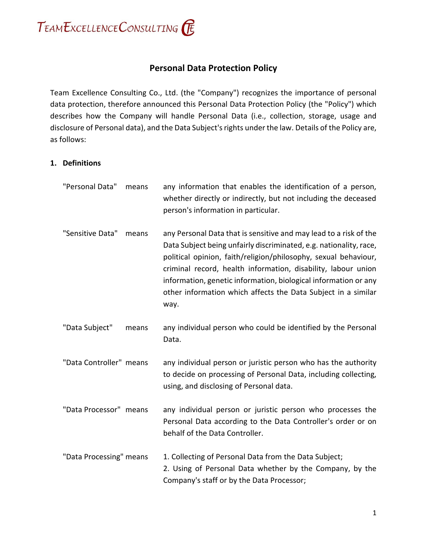

# **Personal Data Protection Policy**

Team Excellence Consulting Co., Ltd. (the "Company") recognizes the importance of personal data protection, therefore announced this Personal Data Protection Policy (the "Policy") which describes how the Company will handle Personal Data (i.e., collection, storage, usage and disclosure of Personal data), and the Data Subject's rights under the law. Details of the Policy are, as follows:

#### **1. Definitions**

| "Personal Data"         | means | any information that enables the identification of a person,<br>whether directly or indirectly, but not including the deceased<br>person's information in particular.                                                                                                                                                                                                                                                   |
|-------------------------|-------|-------------------------------------------------------------------------------------------------------------------------------------------------------------------------------------------------------------------------------------------------------------------------------------------------------------------------------------------------------------------------------------------------------------------------|
| "Sensitive Data"        | means | any Personal Data that is sensitive and may lead to a risk of the<br>Data Subject being unfairly discriminated, e.g. nationality, race,<br>political opinion, faith/religion/philosophy, sexual behaviour,<br>criminal record, health information, disability, labour union<br>information, genetic information, biological information or any<br>other information which affects the Data Subject in a similar<br>way. |
| "Data Subject"          | means | any individual person who could be identified by the Personal<br>Data.                                                                                                                                                                                                                                                                                                                                                  |
| "Data Controller" means |       | any individual person or juristic person who has the authority<br>to decide on processing of Personal Data, including collecting,<br>using, and disclosing of Personal data.                                                                                                                                                                                                                                            |
| "Data Processor" means  |       | any individual person or juristic person who processes the<br>Personal Data according to the Data Controller's order or on<br>behalf of the Data Controller.                                                                                                                                                                                                                                                            |
| "Data Processing" means |       | 1. Collecting of Personal Data from the Data Subject;<br>2. Using of Personal Data whether by the Company, by the<br>Company's staff or by the Data Processor;                                                                                                                                                                                                                                                          |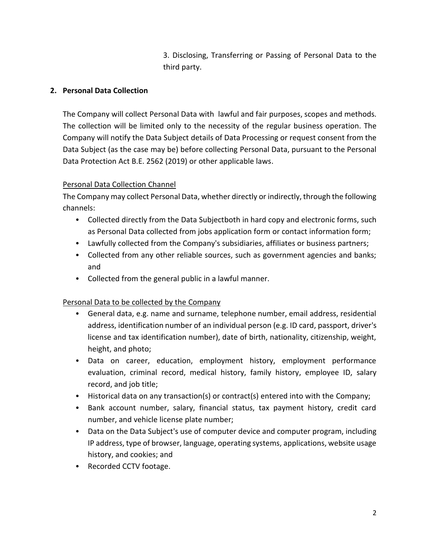3. Disclosing, Transferring or Passing of Personal Data to the third party.

### **2. Personal Data Collection**

The Company will collect Personal Data with lawful and fair purposes, scopes and methods. The collection will be limited only to the necessity of the regular business operation. The Company will notify the Data Subject details of Data Processing or request consent from the Data Subject (as the case may be) before collecting Personal Data, pursuant to the Personal Data Protection Act B.E. 2562 (2019) or other applicable laws.

## Personal Data Collection Channel

The Company may collect Personal Data, whether directly or indirectly, through the following channels:

- Collected directly from the Data Subjectboth in hard copy and electronic forms, such as Personal Data collected from jobs application form or contact information form;
- Lawfully collected from the Company's subsidiaries, affiliates or business partners;
- Collected from any other reliable sources, such as government agencies and banks; and
- Collected from the general public in a lawful manner.

## Personal Data to be collected by the Company

- General data, e.g. name and surname, telephone number, email address, residential address, identification number of an individual person (e.g. ID card, passport, driver's license and tax identification number), date of birth, nationality, citizenship, weight, height, and photo;
- Data on career, education, employment history, employment performance evaluation, criminal record, medical history, family history, employee ID, salary record, and job title;
- Historical data on any transaction(s) or contract(s) entered into with the Company;
- Bank account number, salary, financial status, tax payment history, credit card number, and vehicle license plate number;
- Data on the Data Subject's use of computer device and computer program, including IP address, type of browser, language, operating systems, applications, website usage history, and cookies; and
- Recorded CCTV footage.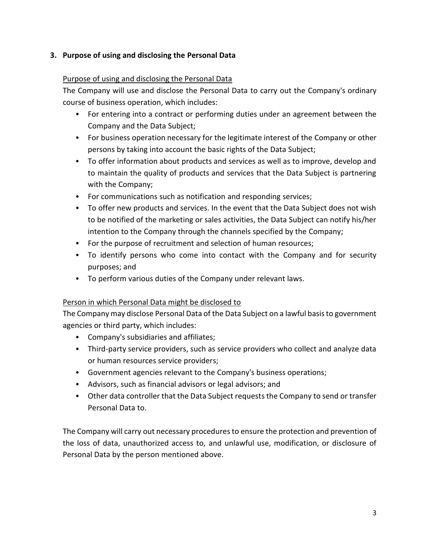### **3. Purpose of using and disclosing the Personal Data**

### Purpose of using and disclosing the Personal Data

The Company will use and disclose the Personal Data to carry out the Company's ordinary course of business operation, which includes:

- For entering into a contract or performing duties under an agreement between the Company and the Data Subject;
- For business operation necessary for the legitimate interest of the Company or other persons by taking into account the basic rights of the Data Subject;
- To offer information about products and services as well as to improve, develop and to maintain the quality of products and services that the Data Subject is partnering with the Company;
- For communications such as notification and responding services;
- To offer new products and services. In the event that the Data Subject does not wish to be notified of the marketing or sales activities, the Data Subject can notify his/her intention to the Company through the channels specified by the Company;
- For the purpose of recruitment and selection of human resources;
- To identify persons who come into contact with the Company and for security purposes; and
- To perform various duties of the Company under relevant laws.

#### Person in which Personal Data might be disclosed to

The Company may disclose Personal Data of the Data Subject on a lawful basis to government agencies or third party, which includes:

- Company's subsidiaries and affiliates;
- Third-party service providers, such as service providers who collect and analyze data or human resources service providers;
- Government agencies relevant to the Company's business operations;
- Advisors, such as financial advisors or legal advisors; and
- Other data controller that the Data Subject requests the Company to send or transfer Personal Data to.

The Company will carry out necessary proceduresto ensure the protection and prevention of the loss of data, unauthorized access to, and unlawful use, modification, or disclosure of Personal Data by the person mentioned above.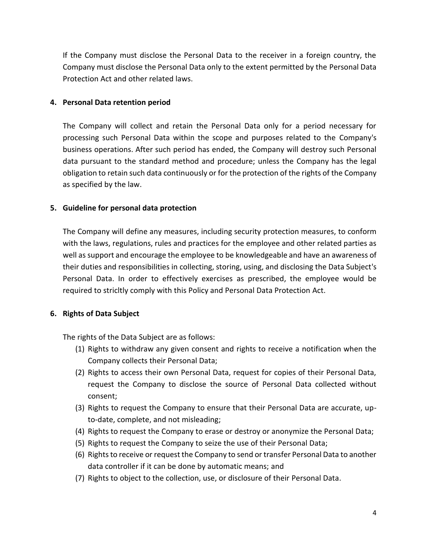If the Company must disclose the Personal Data to the receiver in a foreign country, the Company must disclose the Personal Data only to the extent permitted by the Personal Data Protection Act and other related laws.

#### **4. Personal Data retention period**

The Company will collect and retain the Personal Data only for a period necessary for processing such Personal Data within the scope and purposes related to the Company's business operations. After such period has ended, the Company will destroy such Personal data pursuant to the standard method and procedure; unless the Company has the legal obligation to retain such data continuously or for the protection of the rights of the Company as specified by the law.

## **5. Guideline for personal data protection**

The Company will define any measures, including security protection measures, to conform with the laws, regulations, rules and practices for the employee and other related parties as well as support and encourage the employee to be knowledgeable and have an awareness of their duties and responsibilities in collecting, storing, using, and disclosing the Data Subject's Personal Data. In order to effectively exercises as prescribed, the employee would be required to stricltly comply with this Policy and Personal Data Protection Act.

## **6. Rights of Data Subject**

The rights of the Data Subject are as follows:

- (1) Rights to withdraw any given consent and rights to receive a notification when the Company collects their Personal Data;
- (2) Rights to access their own Personal Data, request for copies of their Personal Data, request the Company to disclose the source of Personal Data collected without consent;
- (3) Rights to request the Company to ensure that their Personal Data are accurate, upto-date, complete, and not misleading;
- (4) Rights to request the Company to erase or destroy or anonymize the Personal Data;
- (5) Rights to request the Company to seize the use of their Personal Data;
- (6) Rights to receive or request the Company to send or transfer Personal Data to another data controller if it can be done by automatic means; and
- (7) Rights to object to the collection, use, or disclosure of their Personal Data.